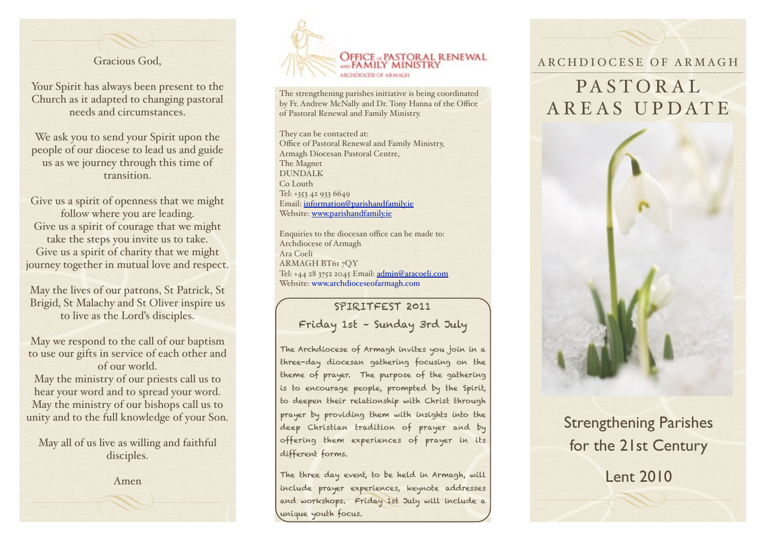

Your Spirit has always been present to the Church as it adapted to changing pastoral needs and circumstances.

We ask you to send your Spirit upon the people of our diocese to lead us and guide us as we journey through this time of transition.

Give us a spirit of openness that we might follow where you are leading. Give us a spirit of courage that we might take the steps you invite us to take. Give us a spirit of charity that we might journey together in mutual love and respect.

May the lives of our patrons, St Patrick, St Brigid, St Malachy and St Oliver inspire us to live as the Lord's disciples.

May we respond to the call of our baptism to use our gifts in service of each other and of our world.

May the ministry of our priests call us to hear your word and to spread your word. May the ministry of our bishops call us to unity and to the full knowledge of your Son.

May all of us live as willing and faithful disciples.

Amen



The strengthening parishes initiative is being coordinated by Fr. Andrew McNally and Dr. Tony Hanna of the Office of Pastoral Renewal and Family Ministry.

They can be contacted at: Office of Pastoral Renewal and Family Ministry, Armagh Diocesan Pastoral Centre, The Magnet DUNDALK Co Louth Tel: +353 42 933 6649 Email: [information@parishandfamily.ie](mailto:information@parishandfamily.ie) Website: [www.parishandfamily.ie](http://www.parishandfamily.ie)

Enquiries to the diocesan office can be made to: Archdiocese of Armagh Ara Coeli ARMAGH BT61 7QY Tel: +44 28 3752 2045 Email: [admin@aracoeli.com](mailto:admin@aracoeli.com) Website: www.archdioceseofarmagh.com

> SPIRITFEST 2011 Friday 1st – Sunday 3rd July

The Archdiocese of Armagh invites you join in a three-day diocesan gathering focusing on the theme of prayer. The purpose of the gathering is to encourage people, prompted by the Spirit, to deepen their relationship with Christ through prayer by providing them with insights into the deep Christian tradition of prayer and by offering them experiences of prayer in its different forms.

The three day event, to be held in Armagh, will include prayer experiences, keynote addresses and workshops. Friday 1st July will include a unique youth focus.

### ARCHDIOCESE OF ARMAGH

# PASTORAL AREAS UPDATE



# Strengthening Parishes for the 21st Century

Lent 2010